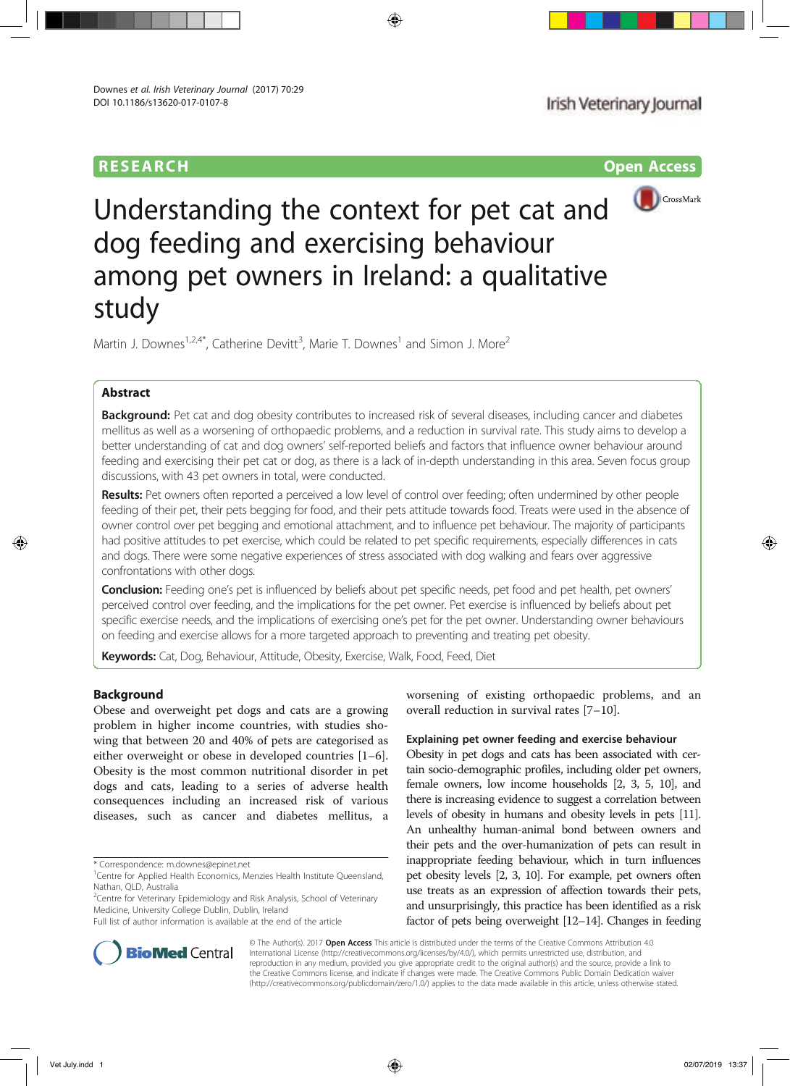RESEARCH Open Access



# Understanding the context for pet cat and dog feeding and exercising behaviour among pet owners in Ireland: a qualitative study

Martin J. Downes<sup>1,2,4\*</sup>, Catherine Devitt<sup>3</sup>, Marie T. Downes<sup>1</sup> and Simon J. More<sup>2</sup>

# Abstract

Background: Pet cat and dog obesity contributes to increased risk of several diseases, including cancer and diabetes mellitus as well as a worsening of orthopaedic problems, and a reduction in survival rate. This study aims to develop a better understanding of cat and dog owners' self-reported beliefs and factors that influence owner behaviour around feeding and exercising their pet cat or dog, as there is a lack of in-depth understanding in this area. Seven focus group discussions, with 43 pet owners in total, were conducted.

Results: Pet owners often reported a perceived a low level of control over feeding; often undermined by other people feeding of their pet, their pets begging for food, and their pets attitude towards food. Treats were used in the absence of owner control over pet begging and emotional attachment, and to influence pet behaviour. The majority of participants had positive attitudes to pet exercise, which could be related to pet specific requirements, especially differences in cats and dogs. There were some negative experiences of stress associated with dog walking and fears over aggressive confrontations with other dogs.

Conclusion: Feeding one's pet is influenced by beliefs about pet specific needs, pet food and pet health, pet owners' perceived control over feeding, and the implications for the pet owner. Pet exercise is influenced by beliefs about pet specific exercise needs, and the implications of exercising one's pet for the pet owner. Understanding owner behaviours on feeding and exercise allows for a more targeted approach to preventing and treating pet obesity.

Keywords: Cat, Dog, Behaviour, Attitude, Obesity, Exercise, Walk, Food, Feed, Diet

# Background

Obese and overweight pet dogs and cats are a growing problem in higher income countries, with studies showing that between 20 and 40% of pets are categorised as either overweight or obese in developed countries [1–6]. Obesity is the most common nutritional disorder in pet dogs and cats, leading to a series of adverse health consequences including an increased risk of various diseases, such as cancer and diabetes mellitus, a

<sup>2</sup>Centre for Veterinary Epidemiology and Risk Analysis, School of Veterinary Medicine, University College Dublin, Dublin, Ireland

Full list of author information is available at the end of the article

worsening of existing orthopaedic problems, and an overall reduction in survival rates [7–10].

#### Explaining pet owner feeding and exercise behaviour

Obesity in pet dogs and cats has been associated with certain socio-demographic profiles, including older pet owners, female owners, low income households [2, 3, 5, 10], and there is increasing evidence to suggest a correlation between levels of obesity in humans and obesity levels in pets [11]. An unhealthy human-animal bond between owners and their pets and the over-humanization of pets can result in inappropriate feeding behaviour, which in turn influences pet obesity levels [2, 3, 10]. For example, pet owners often use treats as an expression of affection towards their pets, and unsurprisingly, this practice has been identified as a risk factor of pets being overweight [12–14]. Changes in feeding



© The Author(s). 2017 Open Access This article is distributed under the terms of the Creative Commons Attribution 4.0 International License (http://creativecommons.org/licenses/by/4.0/), which permits unrestricted use, distribution, and reproduction in any medium, provided you give appropriate credit to the original author(s) and the source, provide a link to the Creative Commons license, and indicate if changes were made. The Creative Commons Public Domain Dedication waiver (http://creativecommons.org/publicdomain/zero/1.0/) applies to the data made available in this article, unless otherwise stated.

<sup>\*</sup> Correspondence: m.downes@epinet.net <sup>1</sup>

<sup>&</sup>lt;sup>1</sup>Centre for Applied Health Economics, Menzies Health Institute Queensland, Nathan, QLD, Australia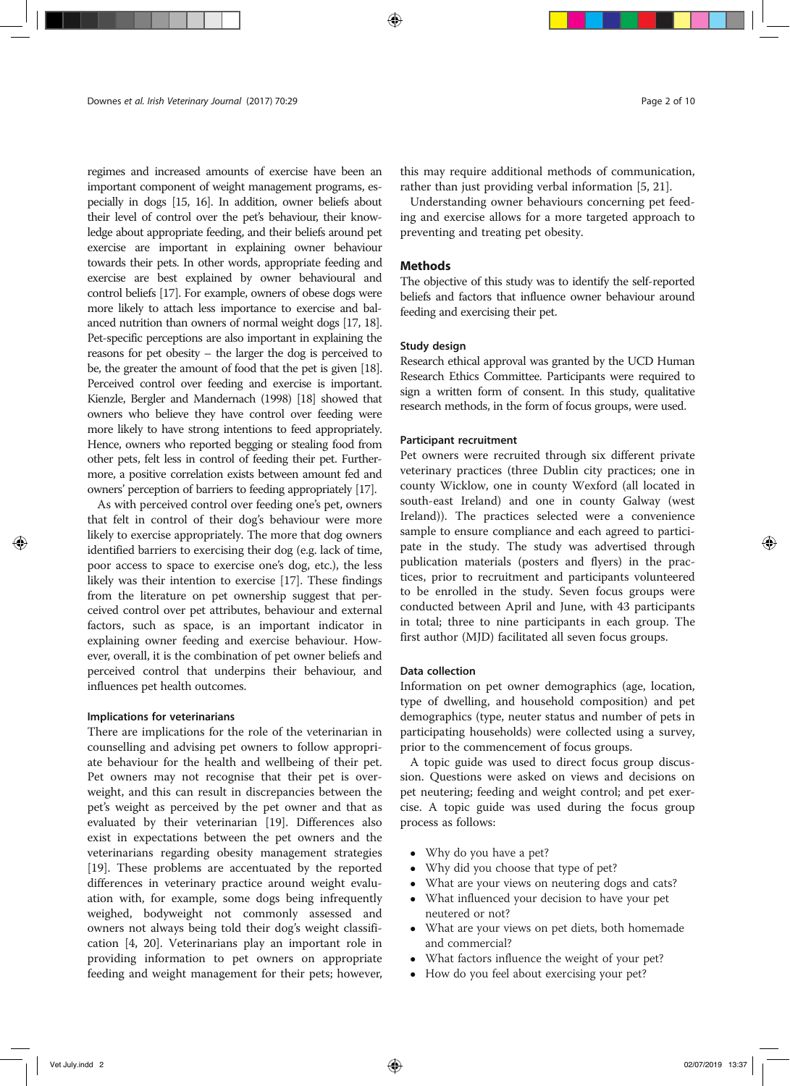regimes and increased amounts of exercise have been an important component of weight management programs, especially in dogs [15, 16]. In addition, owner beliefs about their level of control over the pet's behaviour, their knowledge about appropriate feeding, and their beliefs around pet exercise are important in explaining owner behaviour towards their pets. In other words, appropriate feeding and exercise are best explained by owner behavioural and control beliefs [17]. For example, owners of obese dogs were more likely to attach less importance to exercise and balanced nutrition than owners of normal weight dogs [17, 18]. Pet-specific perceptions are also important in explaining the reasons for pet obesity – the larger the dog is perceived to be, the greater the amount of food that the pet is given [18]. Perceived control over feeding and exercise is important. Kienzle, Bergler and Mandernach (1998) [18] showed that owners who believe they have control over feeding were more likely to have strong intentions to feed appropriately. Hence, owners who reported begging or stealing food from other pets, felt less in control of feeding their pet. Furthermore, a positive correlation exists between amount fed and owners' perception of barriers to feeding appropriately [17].

As with perceived control over feeding one's pet, owners that felt in control of their dog's behaviour were more likely to exercise appropriately. The more that dog owners identified barriers to exercising their dog (e.g. lack of time, poor access to space to exercise one's dog, etc.), the less likely was their intention to exercise [17]. These findings from the literature on pet ownership suggest that perceived control over pet attributes, behaviour and external factors, such as space, is an important indicator in explaining owner feeding and exercise behaviour. However, overall, it is the combination of pet owner beliefs and perceived control that underpins their behaviour, and influences pet health outcomes.

# Implications for veterinarians

There are implications for the role of the veterinarian in counselling and advising pet owners to follow appropriate behaviour for the health and wellbeing of their pet. Pet owners may not recognise that their pet is overweight, and this can result in discrepancies between the pet's weight as perceived by the pet owner and that as evaluated by their veterinarian [19]. Differences also exist in expectations between the pet owners and the veterinarians regarding obesity management strategies [19]. These problems are accentuated by the reported differences in veterinary practice around weight evaluation with, for example, some dogs being infrequently weighed, bodyweight not commonly assessed and owners not always being told their dog's weight classification [4, 20]. Veterinarians play an important role in providing information to pet owners on appropriate feeding and weight management for their pets; however, this may require additional methods of communication, rather than just providing verbal information [5, 21].

Understanding owner behaviours concerning pet feeding and exercise allows for a more targeted approach to preventing and treating pet obesity.

#### Methods

The objective of this study was to identify the self-reported beliefs and factors that influence owner behaviour around feeding and exercising their pet.

#### Study design

Research ethical approval was granted by the UCD Human Research Ethics Committee. Participants were required to sign a written form of consent. In this study, qualitative research methods, in the form of focus groups, were used.

#### Participant recruitment

Pet owners were recruited through six different private veterinary practices (three Dublin city practices; one in county Wicklow, one in county Wexford (all located in south-east Ireland) and one in county Galway (west Ireland)). The practices selected were a convenience sample to ensure compliance and each agreed to participate in the study. The study was advertised through publication materials (posters and flyers) in the practices, prior to recruitment and participants volunteered to be enrolled in the study. Seven focus groups were conducted between April and June, with 43 participants in total; three to nine participants in each group. The first author (MJD) facilitated all seven focus groups.

#### Data collection

Information on pet owner demographics (age, location, type of dwelling, and household composition) and pet demographics (type, neuter status and number of pets in participating households) were collected using a survey, prior to the commencement of focus groups.

A topic guide was used to direct focus group discussion. Questions were asked on views and decisions on pet neutering; feeding and weight control; and pet exercise. A topic guide was used during the focus group process as follows:

- Why do you have a pet?
- Why did you choose that type of pet?
- What are your views on neutering dogs and cats?
- What influenced your decision to have your pet neutered or not?
- What are your views on pet diets, both homemade and commercial?
- What factors influence the weight of your pet?
- How do you feel about exercising your pet?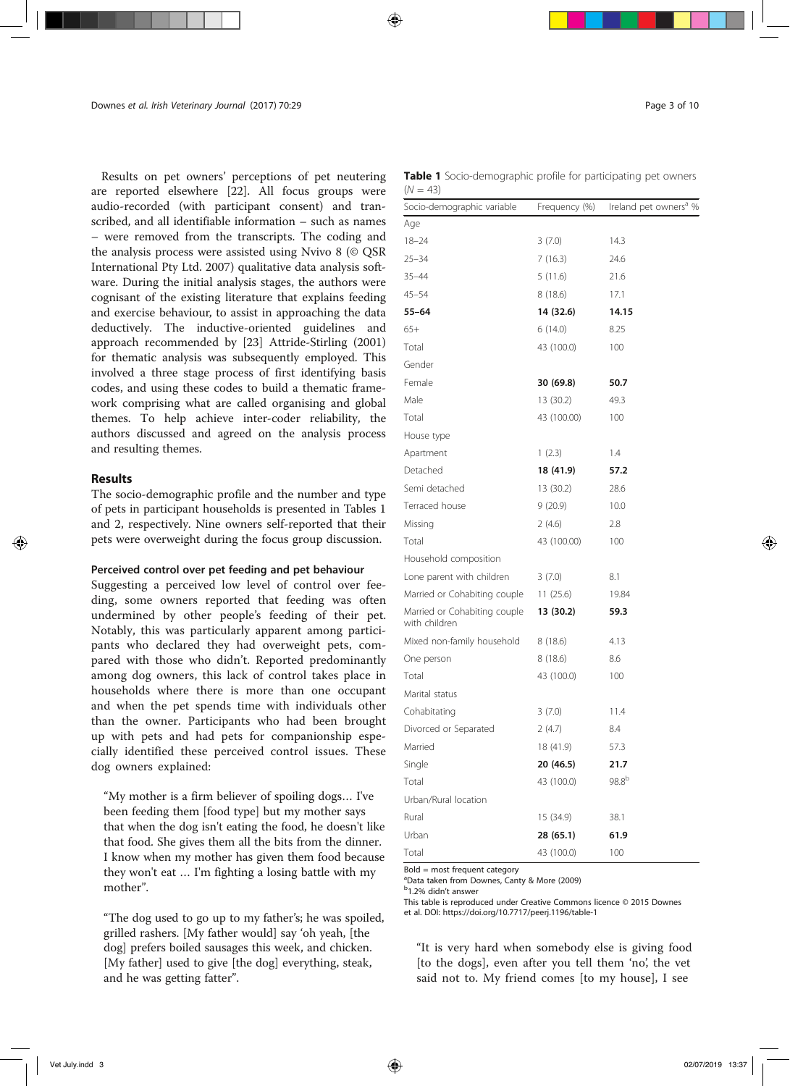Results on pet owners' perceptions of pet neutering are reported elsewhere [22]. All focus groups were audio-recorded (with participant consent) and transcribed, and all identifiable information – such as names – were removed from the transcripts. The coding and the analysis process were assisted using Nvivo 8 (© QSR International Pty Ltd. 2007) qualitative data analysis software. During the initial analysis stages, the authors were cognisant of the existing literature that explains feeding and exercise behaviour, to assist in approaching the data deductively. The inductive-oriented guidelines and approach recommended by [23] Attride-Stirling (2001) for thematic analysis was subsequently employed. This involved a three stage process of first identifying basis codes, and using these codes to build a thematic framework comprising what are called organising and global themes. To help achieve inter-coder reliability, the authors discussed and agreed on the analysis process and resulting themes.

#### Results

The socio-demographic profile and the number and type of pets in participant households is presented in Tables 1 and 2, respectively. Nine owners self-reported that their pets were overweight during the focus group discussion.

#### Perceived control over pet feeding and pet behaviour

Suggesting a perceived low level of control over feeding, some owners reported that feeding was often undermined by other people's feeding of their pet. Notably, this was particularly apparent among participants who declared they had overweight pets, compared with those who didn't. Reported predominantly among dog owners, this lack of control takes place in households where there is more than one occupant and when the pet spends time with individuals other than the owner. Participants who had been brought up with pets and had pets for companionship especially identified these perceived control issues. These dog owners explained:

"My mother is a firm believer of spoiling dogs… I've been feeding them [food type] but my mother says that when the dog isn't eating the food, he doesn't like that food. She gives them all the bits from the dinner. I know when my mother has given them food because they won't eat … I'm fighting a losing battle with my mother".

"The dog used to go up to my father's; he was spoiled, grilled rashers. [My father would] say 'oh yeah, [the dog] prefers boiled sausages this week, and chicken. [My father] used to give [the dog] everything, steak, and he was getting fatter".

Table 1 Socio-demographic profile for participating pet owners  $(N = 43)$ 

| Socio-demographic variable                    | Frequency (%)     | Ireland pet owners <sup>a</sup> % |  |
|-----------------------------------------------|-------------------|-----------------------------------|--|
| Age                                           |                   |                                   |  |
| $18 - 24$                                     | 3(7.0)            | 14.3                              |  |
| $25 - 34$                                     | 7(16.3)           | 24.6                              |  |
| $35 - 44$                                     | 5(11.6)           | 21.6                              |  |
| $45 - 54$                                     | 8(18.6)           | 17.1                              |  |
| 55–64                                         | 14 (32.6)         | 14.15                             |  |
| $65+$                                         | 6(14.0)           | 8.25                              |  |
| Total                                         | 43 (100.0)<br>100 |                                   |  |
| Gender                                        |                   |                                   |  |
| Female                                        | 30 (69.8)         | 50.7                              |  |
| Male                                          | 13 (30.2)         | 49.3                              |  |
| Total                                         | 43 (100.00)       | 100                               |  |
| House type                                    |                   |                                   |  |
| Apartment                                     | 1(2.3)            | 1.4                               |  |
| Detached                                      | 18 (41.9)         | 57.2                              |  |
| Semi detached                                 | 13 (30.2)         | 28.6                              |  |
| Terraced house                                | 9(20.9)           | 10.0                              |  |
| Missing                                       | 2(4.6)            | 2.8                               |  |
| Total                                         | 43 (100.00)       | 100                               |  |
| Household composition                         |                   |                                   |  |
| Lone parent with children                     | 3(7.0)            | 8.1                               |  |
| Married or Cohabiting couple                  | 11(25.6)          | 19.84                             |  |
| Married or Cohabiting couple<br>with children | 13 (30.2)         | 59.3                              |  |
| Mixed non-family household                    | 8(18.6)           | 4.13                              |  |
| One person                                    | 8 (18.6)          | 8.6                               |  |
| Total                                         | 43 (100.0)        | 100                               |  |
| Marital status                                |                   |                                   |  |
| Cohabitating                                  | 3(7.0)            | 11.4                              |  |
| Divorced or Separated                         | 2(4.7)            | 8.4                               |  |
| Married                                       | 18 (41.9)         | 57.3                              |  |
| Single                                        | 20 (46.5)         | 21.7                              |  |
| Total                                         | 43 (100.0)        | $98.8^{b}$                        |  |
| Urban/Rural location                          |                   |                                   |  |
| Rural                                         | 15 (34.9)         | 38.1                              |  |
| Urban                                         | 28 (65.1)         | 61.9                              |  |
| Total                                         | 43 (100.0)        | 100                               |  |

Bold = most frequent category

<sup>a</sup> Data taken from Downes, Canty & More (2009)

1.2% didn't answer

This table is reproduced under Creative Commons licence © 2015 Downes et al. DOI: https://doi.org/10.7717/peerj.1196/table-1

"It is very hard when somebody else is giving food [to the dogs], even after you tell them 'no', the vet said not to. My friend comes [to my house], I see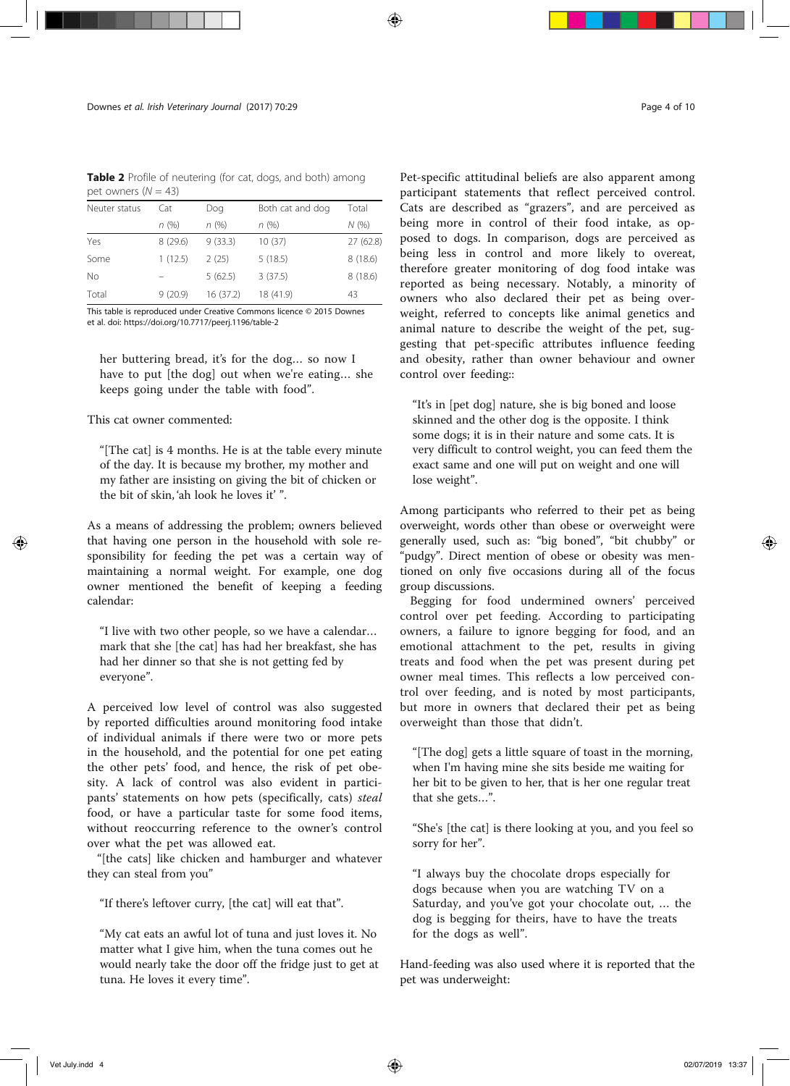Table 2 Profile of neutering (for cat, dogs, and both) among pet owners  $(N = 43)$ 

| Neuter status | Cat     | Dog       | Both cat and dog | Total     |
|---------------|---------|-----------|------------------|-----------|
|               | n(%)    | n(%)      | n(%)             | N(96)     |
| Yes           | 8(29.6) | 9(33.3)   | 10(37)           | 27 (62.8) |
| Some          | 1(12.5) | 2(25)     | 5(18.5)          | 8(18.6)   |
| No            |         | 5(62.5)   | 3(37.5)          | 8(18.6)   |
| Total         | 9(20.9) | 16 (37.2) | 18 (41.9)        | 43        |

This table is reproduced under Creative Commons licence © 2015 Downes et al. doi: https://doi.org/10.7717/peerj.1196/table-2

her buttering bread, it's for the dog… so now I have to put [the dog] out when we're eating… she keeps going under the table with food".

### This cat owner commented:

"[The cat] is 4 months. He is at the table every minute of the day. It is because my brother, my mother and my father are insisting on giving the bit of chicken or the bit of skin, 'ah look he loves it' ".

As a means of addressing the problem; owners believed that having one person in the household with sole responsibility for feeding the pet was a certain way of maintaining a normal weight. For example, one dog owner mentioned the benefit of keeping a feeding calendar:

"I live with two other people, so we have a calendar… mark that she [the cat] has had her breakfast, she has had her dinner so that she is not getting fed by everyone".

A perceived low level of control was also suggested by reported difficulties around monitoring food intake of individual animals if there were two or more pets in the household, and the potential for one pet eating the other pets' food, and hence, the risk of pet obesity. A lack of control was also evident in participants' statements on how pets (specifically, cats) steal food, or have a particular taste for some food items, without reoccurring reference to the owner's control over what the pet was allowed eat.

"[the cats] like chicken and hamburger and whatever they can steal from you"

"If there's leftover curry, [the cat] will eat that".

"My cat eats an awful lot of tuna and just loves it. No matter what I give him, when the tuna comes out he would nearly take the door off the fridge just to get at tuna. He loves it every time".

Pet-specific attitudinal beliefs are also apparent among participant statements that reflect perceived control. Cats are described as "grazers", and are perceived as being more in control of their food intake, as opposed to dogs. In comparison, dogs are perceived as being less in control and more likely to overeat, therefore greater monitoring of dog food intake was reported as being necessary. Notably, a minority of owners who also declared their pet as being overweight, referred to concepts like animal genetics and animal nature to describe the weight of the pet, suggesting that pet-specific attributes influence feeding and obesity, rather than owner behaviour and owner control over feeding::

"It's in [pet dog] nature, she is big boned and loose skinned and the other dog is the opposite. I think some dogs; it is in their nature and some cats. It is very difficult to control weight, you can feed them the exact same and one will put on weight and one will lose weight".

Among participants who referred to their pet as being overweight, words other than obese or overweight were generally used, such as: "big boned", "bit chubby" or "pudgy". Direct mention of obese or obesity was mentioned on only five occasions during all of the focus group discussions.

Begging for food undermined owners' perceived control over pet feeding. According to participating owners, a failure to ignore begging for food, and an emotional attachment to the pet, results in giving treats and food when the pet was present during pet owner meal times. This reflects a low perceived control over feeding, and is noted by most participants, but more in owners that declared their pet as being overweight than those that didn't.

"[The dog] gets a little square of toast in the morning, when I'm having mine she sits beside me waiting for her bit to be given to her, that is her one regular treat that she gets…".

"She's [the cat] is there looking at you, and you feel so sorry for her".

"I always buy the chocolate drops especially for dogs because when you are watching TV on a Saturday, and you've got your chocolate out, … the dog is begging for theirs, have to have the treats for the dogs as well".

Hand-feeding was also used where it is reported that the pet was underweight: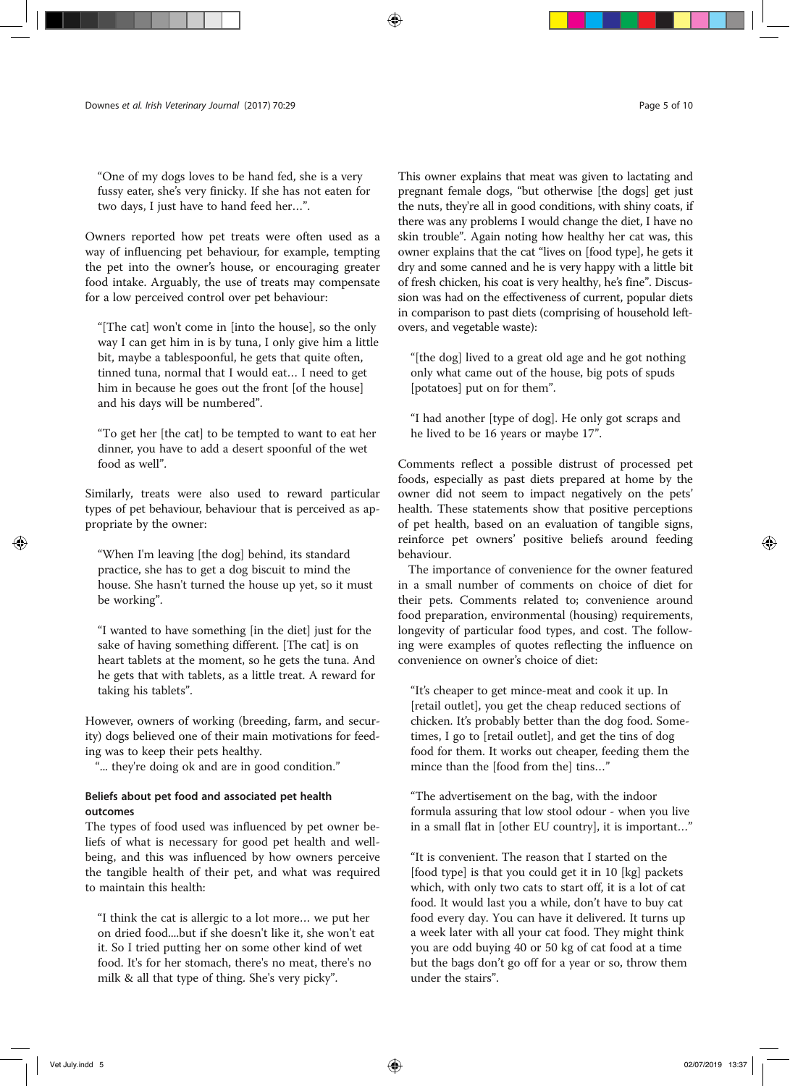"One of my dogs loves to be hand fed, she is a very fussy eater, she's very finicky. If she has not eaten for two days, I just have to hand feed her…".

Owners reported how pet treats were often used as a way of influencing pet behaviour, for example, tempting the pet into the owner's house, or encouraging greater food intake. Arguably, the use of treats may compensate for a low perceived control over pet behaviour:

"[The cat] won't come in [into the house], so the only way I can get him in is by tuna, I only give him a little bit, maybe a tablespoonful, he gets that quite often, tinned tuna, normal that I would eat… I need to get him in because he goes out the front [of the house] and his days will be numbered".

"To get her [the cat] to be tempted to want to eat her dinner, you have to add a desert spoonful of the wet food as well".

Similarly, treats were also used to reward particular types of pet behaviour, behaviour that is perceived as appropriate by the owner:

"When I'm leaving [the dog] behind, its standard practice, she has to get a dog biscuit to mind the house. She hasn't turned the house up yet, so it must be working".

"I wanted to have something [in the diet] just for the sake of having something different. [The cat] is on heart tablets at the moment, so he gets the tuna. And he gets that with tablets, as a little treat. A reward for taking his tablets".

However, owners of working (breeding, farm, and security) dogs believed one of their main motivations for feeding was to keep their pets healthy.

"... they're doing ok and are in good condition."

# Beliefs about pet food and associated pet health outcomes

The types of food used was influenced by pet owner beliefs of what is necessary for good pet health and wellbeing, and this was influenced by how owners perceive the tangible health of their pet, and what was required to maintain this health:

"I think the cat is allergic to a lot more… we put her on dried food....but if she doesn't like it, she won't eat it. So I tried putting her on some other kind of wet food. It's for her stomach, there's no meat, there's no milk & all that type of thing. She's very picky".

This owner explains that meat was given to lactating and pregnant female dogs, "but otherwise [the dogs] get just the nuts, they're all in good conditions, with shiny coats, if there was any problems I would change the diet, I have no skin trouble". Again noting how healthy her cat was, this owner explains that the cat "lives on [food type], he gets it dry and some canned and he is very happy with a little bit of fresh chicken, his coat is very healthy, he's fine". Discussion was had on the effectiveness of current, popular diets in comparison to past diets (comprising of household leftovers, and vegetable waste):

"[the dog] lived to a great old age and he got nothing only what came out of the house, big pots of spuds [potatoes] put on for them".

"I had another [type of dog]. He only got scraps and he lived to be 16 years or maybe 17".

Comments reflect a possible distrust of processed pet foods, especially as past diets prepared at home by the owner did not seem to impact negatively on the pets' health. These statements show that positive perceptions of pet health, based on an evaluation of tangible signs, reinforce pet owners' positive beliefs around feeding behaviour.

The importance of convenience for the owner featured in a small number of comments on choice of diet for their pets. Comments related to; convenience around food preparation, environmental (housing) requirements, longevity of particular food types, and cost. The following were examples of quotes reflecting the influence on convenience on owner's choice of diet:

"It's cheaper to get mince-meat and cook it up. In [retail outlet], you get the cheap reduced sections of chicken. It's probably better than the dog food. Sometimes, I go to [retail outlet], and get the tins of dog food for them. It works out cheaper, feeding them the mince than the [food from the] tins…"

"The advertisement on the bag, with the indoor formula assuring that low stool odour - when you live in a small flat in [other EU country], it is important…"

"It is convenient. The reason that I started on the [food type] is that you could get it in 10 [kg] packets which, with only two cats to start off, it is a lot of cat food. It would last you a while, don't have to buy cat food every day. You can have it delivered. It turns up a week later with all your cat food. They might think you are odd buying 40 or 50 kg of cat food at a time but the bags don't go off for a year or so, throw them under the stairs".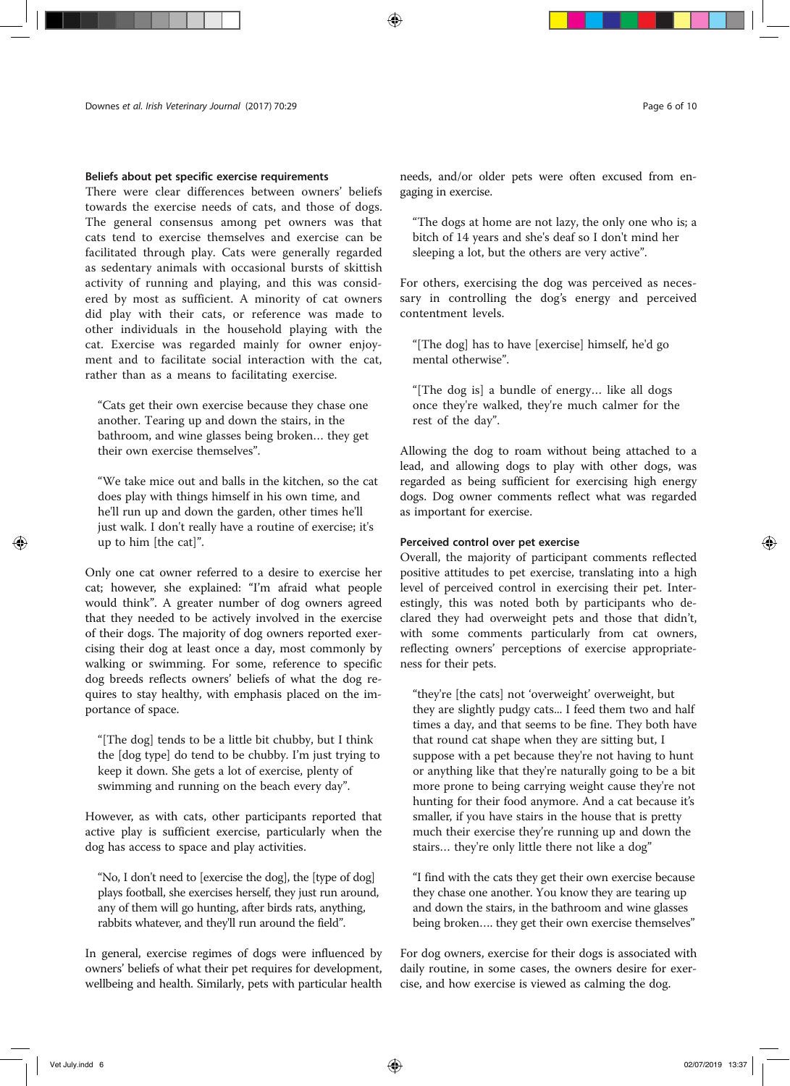### Beliefs about pet specific exercise requirements

There were clear differences between owners' beliefs towards the exercise needs of cats, and those of dogs. The general consensus among pet owners was that cats tend to exercise themselves and exercise can be facilitated through play. Cats were generally regarded as sedentary animals with occasional bursts of skittish activity of running and playing, and this was considered by most as sufficient. A minority of cat owners did play with their cats, or reference was made to other individuals in the household playing with the cat. Exercise was regarded mainly for owner enjoyment and to facilitate social interaction with the cat, rather than as a means to facilitating exercise.

"Cats get their own exercise because they chase one another. Tearing up and down the stairs, in the bathroom, and wine glasses being broken… they get their own exercise themselves".

"We take mice out and balls in the kitchen, so the cat does play with things himself in his own time, and he'll run up and down the garden, other times he'll just walk. I don't really have a routine of exercise; it's up to him [the cat]".

Only one cat owner referred to a desire to exercise her cat; however, she explained: "I'm afraid what people would think". A greater number of dog owners agreed that they needed to be actively involved in the exercise of their dogs. The majority of dog owners reported exercising their dog at least once a day, most commonly by walking or swimming. For some, reference to specific dog breeds reflects owners' beliefs of what the dog requires to stay healthy, with emphasis placed on the importance of space.

"[The dog] tends to be a little bit chubby, but I think the [dog type] do tend to be chubby. I'm just trying to keep it down. She gets a lot of exercise, plenty of swimming and running on the beach every day".

However, as with cats, other participants reported that active play is sufficient exercise, particularly when the dog has access to space and play activities.

"No, I don't need to [exercise the dog], the [type of dog] plays football, she exercises herself, they just run around, any of them will go hunting, after birds rats, anything, rabbits whatever, and they'll run around the field".

In general, exercise regimes of dogs were influenced by owners' beliefs of what their pet requires for development, wellbeing and health. Similarly, pets with particular health needs, and/or older pets were often excused from engaging in exercise.

"The dogs at home are not lazy, the only one who is; a bitch of 14 years and she's deaf so I don't mind her sleeping a lot, but the others are very active".

For others, exercising the dog was perceived as necessary in controlling the dog's energy and perceived contentment levels.

"[The dog] has to have [exercise] himself, he'd go mental otherwise".

"[The dog is] a bundle of energy… like all dogs once they're walked, they're much calmer for the rest of the day".

Allowing the dog to roam without being attached to a lead, and allowing dogs to play with other dogs, was regarded as being sufficient for exercising high energy dogs. Dog owner comments reflect what was regarded as important for exercise.

### Perceived control over pet exercise

Overall, the majority of participant comments reflected positive attitudes to pet exercise, translating into a high level of perceived control in exercising their pet. Interestingly, this was noted both by participants who declared they had overweight pets and those that didn't, with some comments particularly from cat owners, reflecting owners' perceptions of exercise appropriateness for their pets.

"they're [the cats] not 'overweight' overweight, but they are slightly pudgy cats... I feed them two and half times a day, and that seems to be fine. They both have that round cat shape when they are sitting but, I suppose with a pet because they're not having to hunt or anything like that they're naturally going to be a bit more prone to being carrying weight cause they're not hunting for their food anymore. And a cat because it's smaller, if you have stairs in the house that is pretty much their exercise they're running up and down the stairs… they're only little there not like a dog"

"I find with the cats they get their own exercise because they chase one another. You know they are tearing up and down the stairs, in the bathroom and wine glasses being broken…. they get their own exercise themselves"

For dog owners, exercise for their dogs is associated with daily routine, in some cases, the owners desire for exercise, and how exercise is viewed as calming the dog.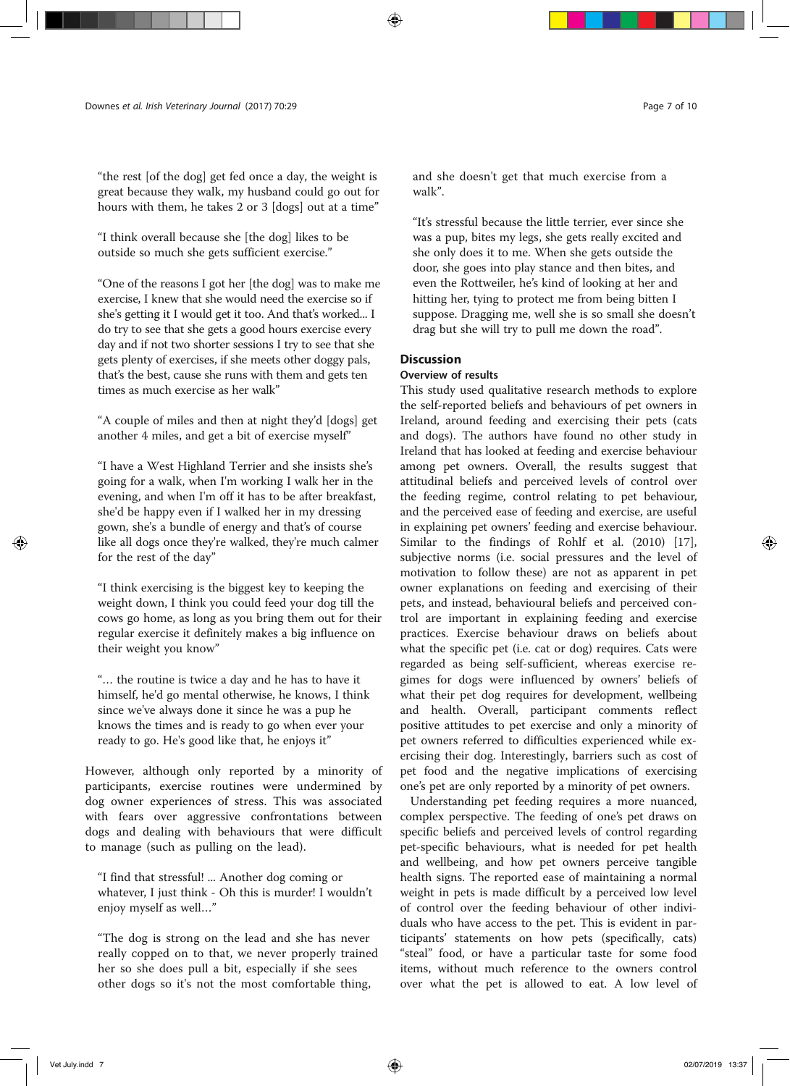"the rest [of the dog] get fed once a day, the weight is great because they walk, my husband could go out for hours with them, he takes 2 or 3 [dogs] out at a time"

"I think overall because she [the dog] likes to be outside so much she gets sufficient exercise."

"One of the reasons I got her [the dog] was to make me exercise, I knew that she would need the exercise so if she's getting it I would get it too. And that's worked... I do try to see that she gets a good hours exercise every day and if not two shorter sessions I try to see that she gets plenty of exercises, if she meets other doggy pals, that's the best, cause she runs with them and gets ten times as much exercise as her walk"

"A couple of miles and then at night they'd [dogs] get another 4 miles, and get a bit of exercise myself"

"I have a West Highland Terrier and she insists she's going for a walk, when I'm working I walk her in the evening, and when I'm off it has to be after breakfast, she'd be happy even if I walked her in my dressing gown, she's a bundle of energy and that's of course like all dogs once they're walked, they're much calmer for the rest of the day"

"I think exercising is the biggest key to keeping the weight down, I think you could feed your dog till the cows go home, as long as you bring them out for their regular exercise it definitely makes a big influence on their weight you know"

"… the routine is twice a day and he has to have it himself, he'd go mental otherwise, he knows, I think since we've always done it since he was a pup he knows the times and is ready to go when ever your ready to go. He's good like that, he enjoys it"

However, although only reported by a minority of participants, exercise routines were undermined by dog owner experiences of stress. This was associated with fears over aggressive confrontations between dogs and dealing with behaviours that were difficult to manage (such as pulling on the lead).

"I find that stressful! ... Another dog coming or whatever, I just think - Oh this is murder! I wouldn't enjoy myself as well…"

"The dog is strong on the lead and she has never really copped on to that, we never properly trained her so she does pull a bit, especially if she sees other dogs so it's not the most comfortable thing,

and she doesn't get that much exercise from a walk".

"It's stressful because the little terrier, ever since she was a pup, bites my legs, she gets really excited and she only does it to me. When she gets outside the door, she goes into play stance and then bites, and even the Rottweiler, he's kind of looking at her and hitting her, tying to protect me from being bitten I suppose. Dragging me, well she is so small she doesn't drag but she will try to pull me down the road".

# Discussion

## Overview of results

This study used qualitative research methods to explore the self-reported beliefs and behaviours of pet owners in Ireland, around feeding and exercising their pets (cats and dogs). The authors have found no other study in Ireland that has looked at feeding and exercise behaviour among pet owners. Overall, the results suggest that attitudinal beliefs and perceived levels of control over the feeding regime, control relating to pet behaviour, and the perceived ease of feeding and exercise, are useful in explaining pet owners' feeding and exercise behaviour. Similar to the findings of Rohlf et al. (2010) [17], subjective norms (i.e. social pressures and the level of motivation to follow these) are not as apparent in pet owner explanations on feeding and exercising of their pets, and instead, behavioural beliefs and perceived control are important in explaining feeding and exercise practices. Exercise behaviour draws on beliefs about what the specific pet (i.e. cat or dog) requires. Cats were regarded as being self-sufficient, whereas exercise regimes for dogs were influenced by owners' beliefs of what their pet dog requires for development, wellbeing and health. Overall, participant comments reflect positive attitudes to pet exercise and only a minority of pet owners referred to difficulties experienced while exercising their dog. Interestingly, barriers such as cost of pet food and the negative implications of exercising one's pet are only reported by a minority of pet owners.

Understanding pet feeding requires a more nuanced, complex perspective. The feeding of one's pet draws on specific beliefs and perceived levels of control regarding pet-specific behaviours, what is needed for pet health and wellbeing, and how pet owners perceive tangible health signs. The reported ease of maintaining a normal weight in pets is made difficult by a perceived low level of control over the feeding behaviour of other individuals who have access to the pet. This is evident in participants' statements on how pets (specifically, cats) "steal" food, or have a particular taste for some food items, without much reference to the owners control over what the pet is allowed to eat. A low level of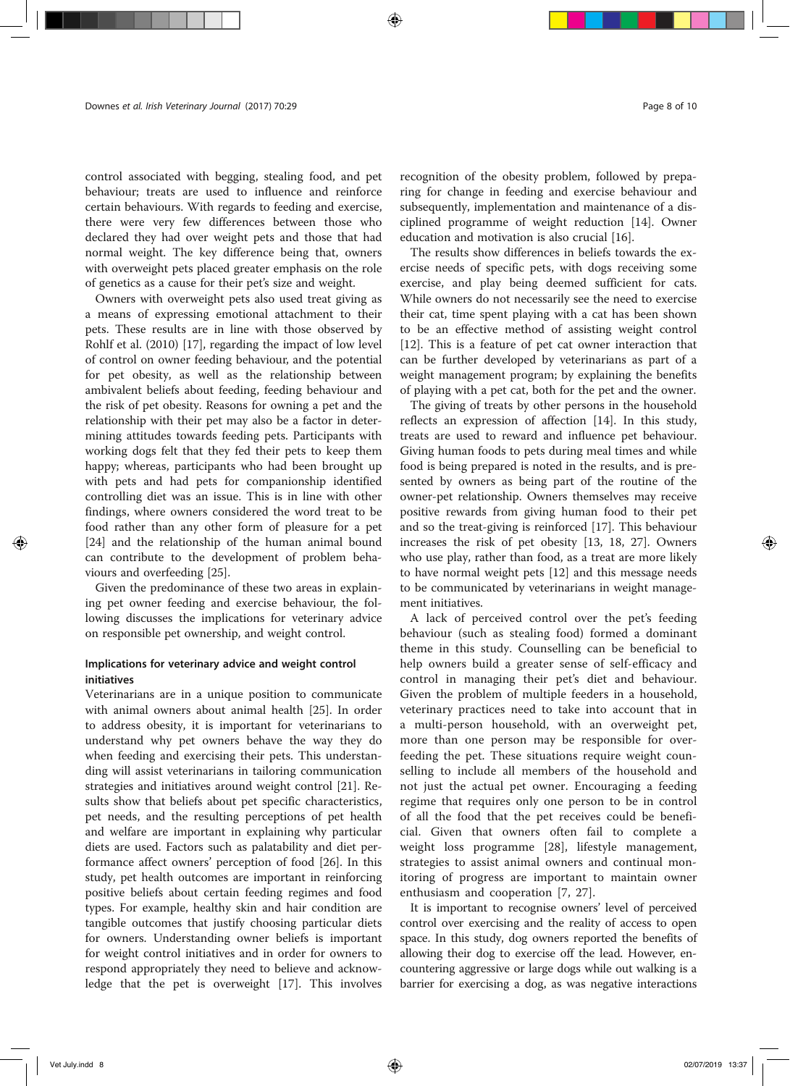control associated with begging, stealing food, and pet behaviour; treats are used to influence and reinforce certain behaviours. With regards to feeding and exercise, there were very few differences between those who declared they had over weight pets and those that had normal weight. The key difference being that, owners with overweight pets placed greater emphasis on the role of genetics as a cause for their pet's size and weight.

Owners with overweight pets also used treat giving as a means of expressing emotional attachment to their pets. These results are in line with those observed by Rohlf et al. (2010) [17], regarding the impact of low level of control on owner feeding behaviour, and the potential for pet obesity, as well as the relationship between ambivalent beliefs about feeding, feeding behaviour and the risk of pet obesity. Reasons for owning a pet and the relationship with their pet may also be a factor in determining attitudes towards feeding pets. Participants with working dogs felt that they fed their pets to keep them happy; whereas, participants who had been brought up with pets and had pets for companionship identified controlling diet was an issue. This is in line with other findings, where owners considered the word treat to be food rather than any other form of pleasure for a pet [24] and the relationship of the human animal bound can contribute to the development of problem behaviours and overfeeding [25].

Given the predominance of these two areas in explaining pet owner feeding and exercise behaviour, the following discusses the implications for veterinary advice on responsible pet ownership, and weight control.

#### Implications for veterinary advice and weight control initiatives

Veterinarians are in a unique position to communicate with animal owners about animal health [25]. In order to address obesity, it is important for veterinarians to understand why pet owners behave the way they do when feeding and exercising their pets. This understanding will assist veterinarians in tailoring communication strategies and initiatives around weight control [21]. Results show that beliefs about pet specific characteristics, pet needs, and the resulting perceptions of pet health and welfare are important in explaining why particular diets are used. Factors such as palatability and diet performance affect owners' perception of food [26]. In this study, pet health outcomes are important in reinforcing positive beliefs about certain feeding regimes and food types. For example, healthy skin and hair condition are tangible outcomes that justify choosing particular diets for owners. Understanding owner beliefs is important for weight control initiatives and in order for owners to respond appropriately they need to believe and acknowledge that the pet is overweight [17]. This involves

recognition of the obesity problem, followed by preparing for change in feeding and exercise behaviour and subsequently, implementation and maintenance of a disciplined programme of weight reduction [14]. Owner education and motivation is also crucial [16].

The results show differences in beliefs towards the exercise needs of specific pets, with dogs receiving some exercise, and play being deemed sufficient for cats. While owners do not necessarily see the need to exercise their cat, time spent playing with a cat has been shown to be an effective method of assisting weight control [12]. This is a feature of pet cat owner interaction that can be further developed by veterinarians as part of a weight management program; by explaining the benefits of playing with a pet cat, both for the pet and the owner.

The giving of treats by other persons in the household reflects an expression of affection [14]. In this study, treats are used to reward and influence pet behaviour. Giving human foods to pets during meal times and while food is being prepared is noted in the results, and is presented by owners as being part of the routine of the owner-pet relationship. Owners themselves may receive positive rewards from giving human food to their pet and so the treat-giving is reinforced [17]. This behaviour increases the risk of pet obesity [13, 18, 27]. Owners who use play, rather than food, as a treat are more likely to have normal weight pets [12] and this message needs to be communicated by veterinarians in weight management initiatives.

A lack of perceived control over the pet's feeding behaviour (such as stealing food) formed a dominant theme in this study. Counselling can be beneficial to help owners build a greater sense of self-efficacy and control in managing their pet's diet and behaviour. Given the problem of multiple feeders in a household, veterinary practices need to take into account that in a multi-person household, with an overweight pet, more than one person may be responsible for overfeeding the pet. These situations require weight counselling to include all members of the household and not just the actual pet owner. Encouraging a feeding regime that requires only one person to be in control of all the food that the pet receives could be beneficial. Given that owners often fail to complete a weight loss programme [28], lifestyle management, strategies to assist animal owners and continual monitoring of progress are important to maintain owner enthusiasm and cooperation [7, 27].

It is important to recognise owners' level of perceived control over exercising and the reality of access to open space. In this study, dog owners reported the benefits of allowing their dog to exercise off the lead. However, encountering aggressive or large dogs while out walking is a barrier for exercising a dog, as was negative interactions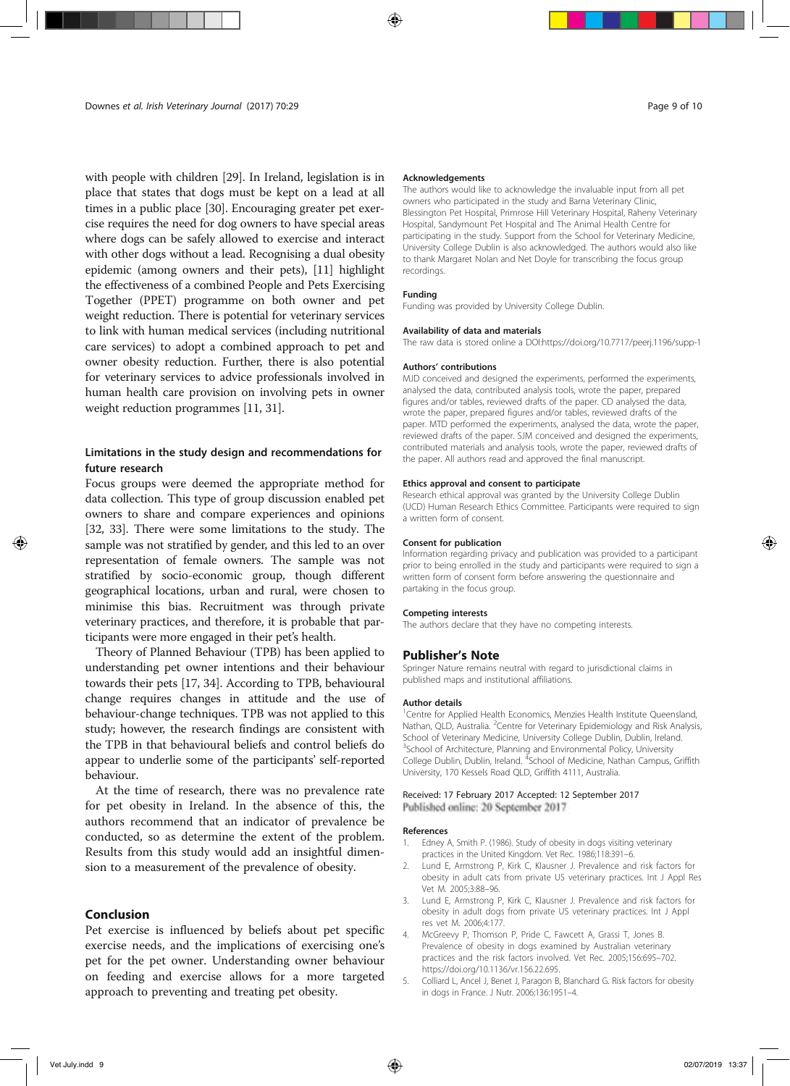with people with children [29]. In Ireland, legislation is in place that states that dogs must be kept on a lead at all times in a public place [30]. Encouraging greater pet exercise requires the need for dog owners to have special areas where dogs can be safely allowed to exercise and interact with other dogs without a lead. Recognising a dual obesity epidemic (among owners and their pets), [11] highlight the effectiveness of a combined People and Pets Exercising Together (PPET) programme on both owner and pet weight reduction. There is potential for veterinary services to link with human medical services (including nutritional care services) to adopt a combined approach to pet and owner obesity reduction. Further, there is also potential for veterinary services to advice professionals involved in human health care provision on involving pets in owner weight reduction programmes [11, 31].

# Limitations in the study design and recommendations for future research

Focus groups were deemed the appropriate method for data collection. This type of group discussion enabled pet owners to share and compare experiences and opinions [32, 33]. There were some limitations to the study. The sample was not stratified by gender, and this led to an over representation of female owners. The sample was not stratified by socio-economic group, though different geographical locations, urban and rural, were chosen to minimise this bias. Recruitment was through private veterinary practices, and therefore, it is probable that participants were more engaged in their pet's health.

Theory of Planned Behaviour (TPB) has been applied to understanding pet owner intentions and their behaviour towards their pets [17, 34]. According to TPB, behavioural change requires changes in attitude and the use of behaviour-change techniques. TPB was not applied to this study; however, the research findings are consistent with the TPB in that behavioural beliefs and control beliefs do appear to underlie some of the participants' self-reported behaviour.

At the time of research, there was no prevalence rate for pet obesity in Ireland. In the absence of this, the authors recommend that an indicator of prevalence be conducted, so as determine the extent of the problem. Results from this study would add an insightful dimension to a measurement of the prevalence of obesity.

# Conclusion

Pet exercise is influenced by beliefs about pet specific exercise needs, and the implications of exercising one's pet for the pet owner. Understanding owner behaviour on feeding and exercise allows for a more targeted approach to preventing and treating pet obesity.

#### Acknowledgements

The authors would like to acknowledge the invaluable input from all pet owners who participated in the study and Barna Veterinary Clinic, Blessington Pet Hospital, Primrose Hill Veterinary Hospital, Raheny Veterinary Hospital, Sandymount Pet Hospital and The Animal Health Centre for participating in the study. Support from the School for Veterinary Medicine, University College Dublin is also acknowledged. The authors would also like to thank Margaret Nolan and Net Doyle for transcribing the focus group recordings.

#### Funding

Funding was provided by University College Dublin.

# The raw data is stored online a DOI:https://doi.org/10.7717/peerj.1196/supp-1 Authors' contributions

Availability of data and materials

MJD conceived and designed the experiments, performed the experiments, analysed the data, contributed analysis tools, wrote the paper, prepared figures and/or tables, reviewed drafts of the paper. CD analysed the data, wrote the paper, prepared figures and/or tables, reviewed drafts of the paper. MTD performed the experiments, analysed the data, wrote the paper, reviewed drafts of the paper. SJM conceived and designed the experiments, contributed materials and analysis tools, wrote the paper, reviewed drafts of the paper. All authors read and approved the final manuscript.

#### Ethics approval and consent to participate

Research ethical approval was granted by the University College Dublin (UCD) Human Research Ethics Committee. Participants were required to sign a written form of consent.

#### Consent for publication

Information regarding privacy and publication was provided to a participant prior to being enrolled in the study and participants were required to sign a written form of consent form before answering the questionnaire and partaking in the focus group.

#### Competing interests

The authors declare that they have no competing interests.

#### Publisher's Note

Springer Nature remains neutral with regard to jurisdictional claims in published maps and institutional affiliations.

#### Author details

<sup>1</sup> Centre for Applied Health Economics, Menzies Health Institute Queensland, Nathan, QLD, Australia. <sup>2</sup>Centre for Veterinary Epidemiology and Risk Analysis, School of Veterinary Medicine, University College Dublin, Dublin, Ireland. <sup>3</sup>School of Architecture, Planning and Environmental Policy, University College Dublin, Dublin, Ireland. <sup>4</sup>School of Medicine, Nathan Campus, Griffith University, 170 Kessels Road QLD, Griffith 4111, Australia.

#### Received: 17 February 2017 Accepted: 12 September 2017 Published online: 20 September 2017

#### References

- 1. Edney A, Smith P. (1986). Study of obesity in dogs visiting veterinary practices in the United Kingdom. Vet Rec. 1986;118:391–6.
- 2. Lund E, Armstrong P, Kirk C, Klausner J. Prevalence and risk factors for obesity in adult cats from private US veterinary practices. Int J Appl Res Vet M. 2005;3:88–96.
- 3. Lund E, Armstrong P, Kirk C, Klausner J. Prevalence and risk factors for obesity in adult dogs from private US veterinary practices. Int J Appl res vet M. 2006;4:177.
- 4. McGreevy P, Thomson P, Pride C, Fawcett A, Grassi T, Jones B. Prevalence of obesity in dogs examined by Australian veterinary practices and the risk factors involved. Vet Rec. 2005;156:695–702. https://doi.org/10.1136/vr.156.22.695.
- 5. Colliard L, Ancel J, Benet J, Paragon B, Blanchard G. Risk factors for obesity in dogs in France. J Nutr. 2006;136:1951–4.